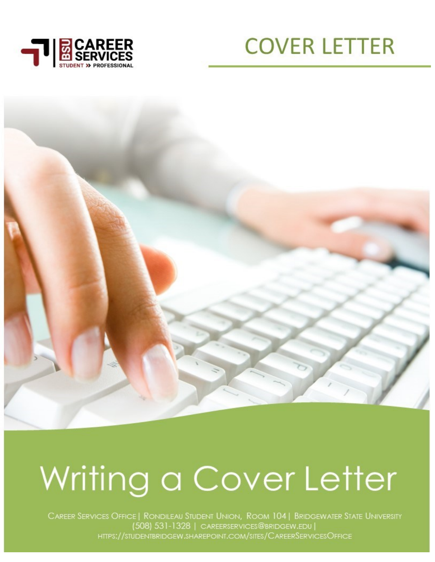





# Writing a Cover Letter

CAREER SERVICES OFFICE | RONDILEAU STUDENT UNION, ROOM 104 | BRIDGEWATER STATE UNIVERSITY (508) 531-1328 | CAREERSERVICES@BRIDGEW.EDU | HTTPS://STUDENTBRIDGEW.SHAREPOINT.COM/SITES/CAREERSERVICESOFFICE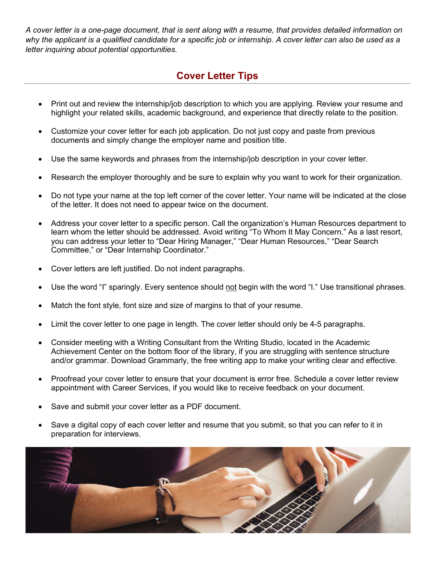*A cover letter is a one-page document, that is sent along with a resume, that provides detailed information on why the applicant is a qualified candidate for a specific job or internship. A cover letter can also be used as a letter inquiring about potential opportunities.*

# **Cover Letter Tips**

- Print out and review the internship/job description to which you are applying. Review your resume and highlight your related skills, academic background, and experience that directly relate to the position.
- Customize your cover letter for each job application. Do not just copy and paste from previous documents and simply change the employer name and position title.
- Use the same keywords and phrases from the internship/job description in your cover letter.
- Research the employer thoroughly and be sure to explain why you want to work for their organization.
- Do not type your name at the top left corner of the cover letter. Your name will be indicated at the close of the letter. It does not need to appear twice on the document.
- Address your cover letter to a specific person. Call the organization's Human Resources department to learn whom the letter should be addressed. Avoid writing "To Whom It May Concern." As a last resort, you can address your letter to "Dear Hiring Manager," "Dear Human Resources," "Dear Search Committee," or "Dear Internship Coordinator."
- Cover letters are left justified. Do not indent paragraphs.
- Use the word "I" sparingly. Every sentence should not begin with the word "I." Use transitional phrases.
- Match the font style, font size and size of margins to that of your resume.
- Limit the cover letter to one page in length. The cover letter should only be 4-5 paragraphs.
- Consider meeting with a Writing Consultant from the Writing Studio, located in the Academic Achievement Center on the bottom floor of the library, if you are struggling with sentence structure and/or grammar. Download Grammarly, the free writing app to make your writing clear and effective.
- Proofread your cover letter to ensure that your document is error free. Schedule a cover letter review appointment with Career Services, if you would like to receive feedback on your document.
- Save and submit your cover letter as a PDF document.
- Save a digital copy of each cover letter and resume that you submit, so that you can refer to it in preparation for interviews.

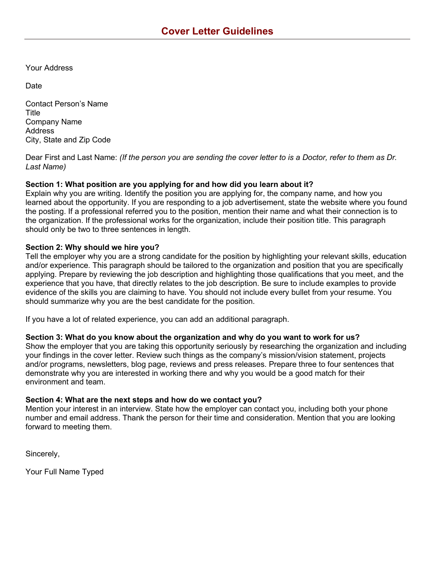Your Address

**Date** 

Contact Person's Name Title Company Name Address City, State and Zip Code

Dear First and Last Name: *(If the person you are sending the cover letter to is a Doctor, refer to them as Dr. Last Name)*

# **Section 1: What position are you applying for and how did you learn about it?**

Explain why you are writing. Identify the position you are applying for, the company name, and how you learned about the opportunity. If you are responding to a job advertisement, state the website where you found the posting. If a professional referred you to the position, mention their name and what their connection is to the organization. If the professional works for the organization, include their position title. This paragraph should only be two to three sentences in length.

# **Section 2: Why should we hire you?**

Tell the employer why you are a strong candidate for the position by highlighting your relevant skills, education and/or experience. This paragraph should be tailored to the organization and position that you are specifically applying. Prepare by reviewing the job description and highlighting those qualifications that you meet, and the experience that you have, that directly relates to the job description. Be sure to include examples to provide evidence of the skills you are claiming to have. You should not include every bullet from your resume. You should summarize why you are the best candidate for the position.

If you have a lot of related experience, you can add an additional paragraph.

### **Section 3: What do you know about the organization and why do you want to work for us?**

Show the employer that you are taking this opportunity seriously by researching the organization and including your findings in the cover letter. Review such things as the company's mission/vision statement, projects and/or programs, newsletters, blog page, reviews and press releases. Prepare three to four sentences that demonstrate why you are interested in working there and why you would be a good match for their environment and team.

### **Section 4: What are the next steps and how do we contact you?**

Mention your interest in an interview. State how the employer can contact you, including both your phone number and email address. Thank the person for their time and consideration. Mention that you are looking forward to meeting them.

Sincerely,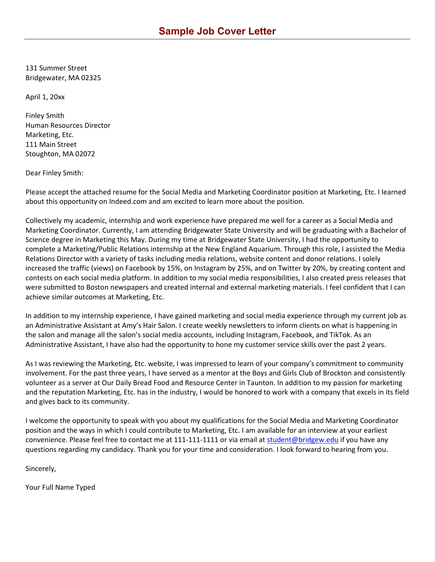131 Summer Street Bridgewater, MA 02325

April 1, 20xx

Finley Smith Human Resources Director Marketing, Etc. 111 Main Street Stoughton, MA 02072

Dear Finley Smith:

Please accept the attached resume for the Social Media and Marketing Coordinator position at Marketing, Etc. I learned about this opportunity on Indeed.com and am excited to learn more about the position.

Collectively my academic, internship and work experience have prepared me well for a career as a Social Media and Marketing Coordinator. Currently, I am attending Bridgewater State University and will be graduating with a Bachelor of Science degree in Marketing this May. During my time at Bridgewater State University, I had the opportunity to complete a Marketing/Public Relations internship at the New England Aquarium. Through this role, I assisted the Media Relations Director with a variety of tasks including media relations, website content and donor relations. I solely increased the traffic (views) on Facebook by 15%, on Instagram by 25%, and on Twitter by 20%, by creating content and contests on each social media platform. In addition to my social media responsibilities, I also created press releases that were submitted to Boston newspapers and created internal and external marketing materials. I feel confident that I can achieve similar outcomes at Marketing, Etc.

In addition to my internship experience, I have gained marketing and social media experience through my current job as an Administrative Assistant at Amy's Hair Salon. I create weekly newsletters to inform clients on what is happening in the salon and manage all the salon's social media accounts, including Instagram, Facebook, and TikTok. As an Administrative Assistant, I have also had the opportunity to hone my customer service skills over the past 2 years.

As I was reviewing the Marketing, Etc. website, I was impressed to learn of your company's commitment to community involvement. For the past three years, I have served as a mentor at the Boys and Girls Club of Brockton and consistently volunteer as a server at Our Daily Bread Food and Resource Center in Taunton. In addition to my passion for marketing and the reputation Marketing, Etc. has in the industry, I would be honored to work with a company that excels in its field and gives back to its community.

I welcome the opportunity to speak with you about my qualifications for the Social Media and Marketing Coordinator position and the ways in which I could contribute to Marketing, Etc. I am available for an interview at your earliest convenience. Please feel free to contact me at 111-111-1111 or via email at [student@bridgew.edu](mailto:student@bridgew.edu) if you have any questions regarding my candidacy. Thank you for your time and consideration. I look forward to hearing from you.

Sincerely,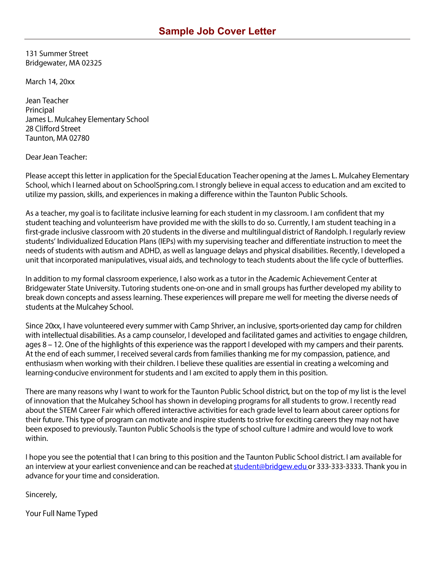131 Summer Street Bridgewater, MA 02325

March 14, 20xx

Jean Teacher Principal James L. Mulcahey Elementary School 28 Clifford Street Taunton, MA 02780

### Dear Jean Teacher:

Please accept this letter in application for the Special Education Teacher opening at the James L. Mulcahey Elementary School, which I learned about on SchoolSpring.com. I strongly believe in equal access to education and am excited to utilize my passion, skills, and experiences in making a difference within the Taunton Public Schools.

As a teacher, my goal is to facilitate inclusive learning for each student in my classroom. I am confident that my student teaching and volunteerism have provided me with the skills to do so. Currently, I am student teaching in a first-grade inclusive classroom with 20 students in the diverse and multilingual district of Randolph. I regularly review students' Individualized Education Plans (IEPs) with my supervising teacher and differentiate instruction to meet the needs of students with autism and ADHD, as well as language delays and physical disabilities. Recently, I developed a unit that incorporated manipulatives, visual aids, and technology to teach students about the life cycle of butterflies.

In addition to my formal classroom experience, I also work as a tutor in the Academic Achievement Center at Bridgewater State University. Tutoring students one-on-one and in small groups has further developed my ability to break down concepts and assess learning. These experiences will prepare me well for meeting the diverse needs of students at the Mulcahey School.

Since 20xx, I have volunteered every summer with Camp Shriver, an inclusive, sports-oriented day camp for children with intellectual disabilities. As a camp counselor, I developed and facilitated games and activities to engage children, ages 8 – 12. One of the highlights of this experience was the rapport I developed with my campers and their parents. At the end of each summer, I received several cards from families thanking me for my compassion, patience, and enthusiasm when working with their children. I believe these qualities are essential in creating a welcoming and learning-conducive environment for students and I am excited to apply them in this position.

There are many reasons why I want to work for the Taunton Public School district, but on the top of my list is the level of innovation that the Mulcahey School has shown in developing programs for all students to grow. I recently read about the STEM Career Fair which offered interactive activities for each grade level to learn about career options for their future. This type of program can motivate and inspire students to strive for exciting careers they may not have been exposed to previously. Taunton Public Schools is the type of school culture I admire and would love to work within.

I hope you see the potential that I can bring to this position and the Taunton Public School district. I am available for an interview at your earliest convenience and can be reached at student@bridgew.edu or 333-333-3333. Thank you in advance for your time and consideration.

Sincerely,